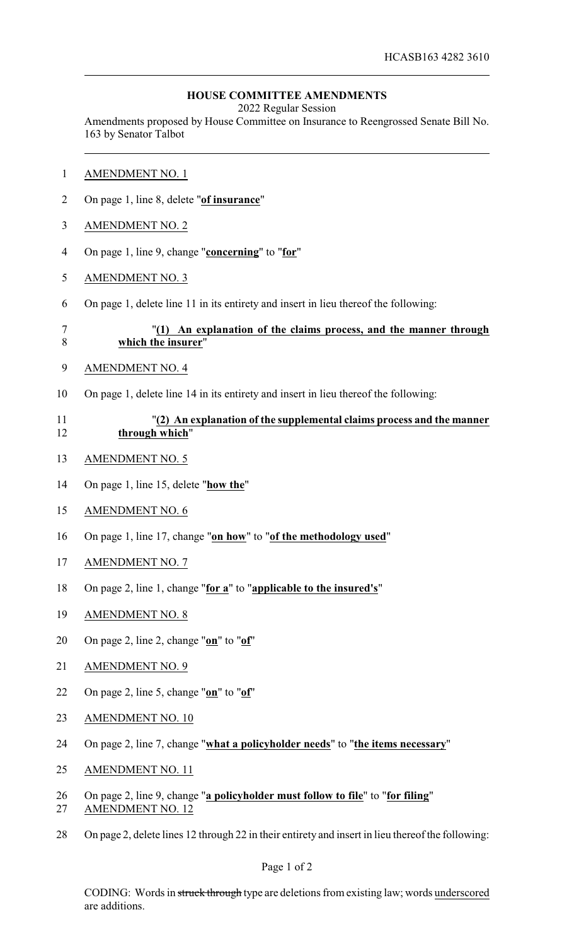## **HOUSE COMMITTEE AMENDMENTS**

2022 Regular Session

Amendments proposed by House Committee on Insurance to Reengrossed Senate Bill No. 163 by Senator Talbot

- AMENDMENT NO. 1
- On page 1, line 8, delete "**of insurance**"
- AMENDMENT NO. 2
- On page 1, line 9, change "**concerning**" to "**for**"
- AMENDMENT NO. 3
- On page 1, delete line 11 in its entirety and insert in lieu thereof the following:

## "**(1) An explanation of the claims process, and the manner through which the insurer**"

- AMENDMENT NO. 4
- On page 1, delete line 14 in its entirety and insert in lieu thereof the following:

## "**(2) An explanation of the supplemental claims process and the manner through which**"

- AMENDMENT NO. 5
- On page 1, line 15, delete "**how the**"
- AMENDMENT NO. 6
- On page 1, line 17, change "**on how**" to "**of the methodology used**"
- AMENDMENT NO. 7
- On page 2, line 1, change "**for a**" to "**applicable to the insured's**"
- AMENDMENT NO. 8
- On page 2, line 2, change "**on**" to "**of**"
- AMENDMENT NO. 9
- On page 2, line 5, change "**on**" to "**of**"
- AMENDMENT NO. 10
- On page 2, line 7, change "**what a policyholder needs**" to "**the items necessary**"
- AMENDMENT NO. 11
- On page 2, line 9, change "**a policyholder must follow to file**" to "**for filing**"
- AMENDMENT NO. 12
- On page 2, delete lines 12 through 22 in their entirety and insert in lieu thereof the following: